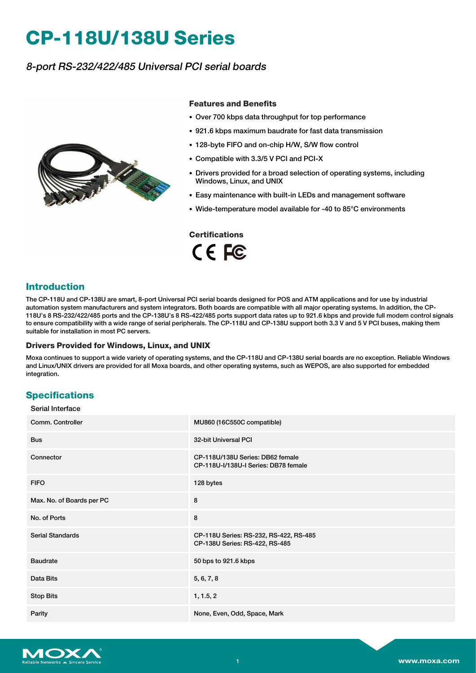# **CP-118U/138U Series**

## 8-port RS-232/422/485 Universal PCI serial boards



#### **Features and Benefits**

- Over 700 kbps data throughput for top performance
- 921.6 kbps maximum baudrate for fast data transmission
- 128-byte FIFO and on-chip H/W, S/W flow control
- Compatible with 3.3/5 V PCI and PCI-X
- Drivers provided for a broad selection of operating systems, including Windows, Linux, and UNIX
- Easy maintenance with built-in LEDs and management software
- Wide-temperature model available for -40 to 85°C environments

# **Certifications**

CE FC

#### **Introduction**

The CP-118U and CP-138U are smart, 8-port Universal PCI serial boards designed for POS and ATM applications and for use by industrial automation system manufacturers and system integrators. Both boards are compatible with all major operating systems. In addition, the CP-118U's 8 RS-232/422/485 ports and the CP-138U's 8 RS-422/485 ports support data rates up to 921.6 kbps and provide full modem control signals to ensure compatibility with a wide range of serial peripherals. The CP-118U and CP-138U support both 3.3 V and 5 V PCI buses, making them suitable for installation in most PC servers.

#### **Drivers Provided for Windows, Linux, and UNIX**

Moxa continues to support a wide variety of operating systems, and the CP-118U and CP-138U serial boards are no exception. Reliable Windows and Linux/UNIX drivers are provided for all Moxa boards, and other operating systems, such as WEPOS, are also supported for embedded integration.

#### **Specifications**

| Serial Interface          |                                                                          |
|---------------------------|--------------------------------------------------------------------------|
| Comm. Controller          | MU860 (16C550C compatible)                                               |
| <b>Bus</b>                | 32-bit Universal PCI                                                     |
| Connector                 | CP-118U/138U Series: DB62 female<br>CP-118U-I/138U-I Series: DB78 female |
| <b>FIFO</b>               | 128 bytes                                                                |
| Max. No. of Boards per PC | 8                                                                        |
| No. of Ports              | 8                                                                        |
| <b>Serial Standards</b>   | CP-118U Series: RS-232, RS-422, RS-485<br>CP-138U Series: RS-422, RS-485 |
| <b>Baudrate</b>           | 50 bps to 921.6 kbps                                                     |
| Data Bits                 | 5, 6, 7, 8                                                               |
| <b>Stop Bits</b>          | 1, 1.5, 2                                                                |
| Parity                    | None, Even, Odd, Space, Mark                                             |

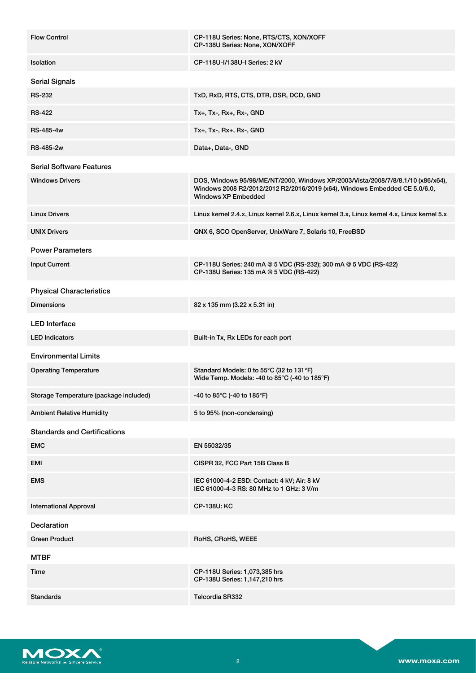| <b>Flow Control</b>                    | CP-118U Series: None, RTS/CTS, XON/XOFF<br>CP-138U Series: None, XON/XOFF                                                                                                                   |
|----------------------------------------|---------------------------------------------------------------------------------------------------------------------------------------------------------------------------------------------|
| Isolation                              | CP-118U-I/138U-I Series: 2 kV                                                                                                                                                               |
| <b>Serial Signals</b>                  |                                                                                                                                                                                             |
| <b>RS-232</b>                          | TxD, RxD, RTS, CTS, DTR, DSR, DCD, GND                                                                                                                                                      |
| <b>RS-422</b>                          | Tx+, Tx-, Rx+, Rx-, GND                                                                                                                                                                     |
| <b>RS-485-4w</b>                       | Tx+, Tx-, Rx+, Rx-, GND                                                                                                                                                                     |
| <b>RS-485-2w</b>                       | Data+, Data-, GND                                                                                                                                                                           |
| <b>Serial Software Features</b>        |                                                                                                                                                                                             |
| <b>Windows Drivers</b>                 | DOS, Windows 95/98/ME/NT/2000, Windows XP/2003/Vista/2008/7/8/8.1/10 (x86/x64),<br>Windows 2008 R2/2012/2012 R2/2016/2019 (x64), Windows Embedded CE 5.0/6.0,<br><b>Windows XP Embedded</b> |
| <b>Linux Drivers</b>                   | Linux kernel 2.4.x, Linux kernel 2.6.x, Linux kernel 3.x, Linux kernel 4.x, Linux kernel 5.x                                                                                                |
| <b>UNIX Drivers</b>                    | QNX 6, SCO OpenServer, UnixWare 7, Solaris 10, FreeBSD                                                                                                                                      |
| <b>Power Parameters</b>                |                                                                                                                                                                                             |
| <b>Input Current</b>                   | CP-118U Series: 240 mA @ 5 VDC (RS-232); 300 mA @ 5 VDC (RS-422)<br>CP-138U Series: 135 mA @ 5 VDC (RS-422)                                                                                 |
| <b>Physical Characteristics</b>        |                                                                                                                                                                                             |
| <b>Dimensions</b>                      | 82 x 135 mm (3.22 x 5.31 in)                                                                                                                                                                |
| <b>LED</b> Interface                   |                                                                                                                                                                                             |
| <b>LED Indicators</b>                  | Built-in Tx, Rx LEDs for each port                                                                                                                                                          |
| <b>Environmental Limits</b>            |                                                                                                                                                                                             |
| <b>Operating Temperature</b>           | Standard Models: 0 to 55°C (32 to 131°F)<br>Wide Temp. Models: -40 to 85°C (-40 to 185°F)                                                                                                   |
| Storage Temperature (package included) | -40 to 85°C (-40 to 185°F)                                                                                                                                                                  |
| <b>Ambient Relative Humidity</b>       | 5 to 95% (non-condensing)                                                                                                                                                                   |
| <b>Standards and Certifications</b>    |                                                                                                                                                                                             |
| <b>EMC</b>                             | EN 55032/35                                                                                                                                                                                 |
| EMI                                    | CISPR 32, FCC Part 15B Class B                                                                                                                                                              |
| <b>EMS</b>                             | IEC 61000-4-2 ESD: Contact: 4 kV; Air: 8 kV<br>IEC 61000-4-3 RS: 80 MHz to 1 GHz: 3 V/m                                                                                                     |
| <b>International Approval</b>          | <b>CP-138U: KC</b>                                                                                                                                                                          |
| <b>Declaration</b>                     |                                                                                                                                                                                             |
| <b>Green Product</b>                   | RoHS, CRoHS, WEEE                                                                                                                                                                           |
| <b>MTBF</b>                            |                                                                                                                                                                                             |
| Time                                   | CP-118U Series: 1,073,385 hrs<br>CP-138U Series: 1,147,210 hrs                                                                                                                              |
| <b>Standards</b>                       | Telcordia SR332                                                                                                                                                                             |

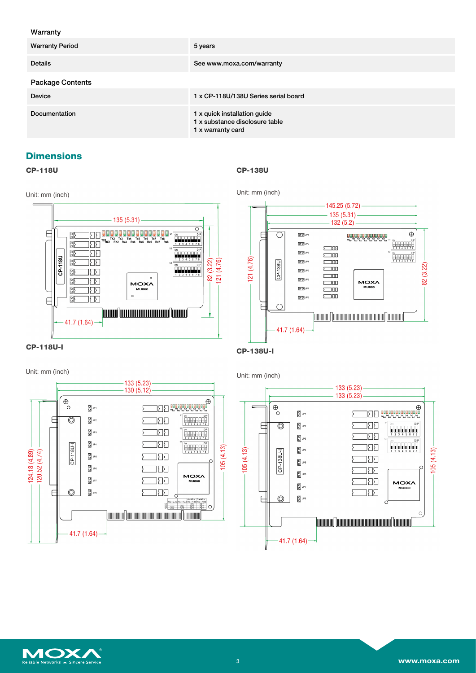#### Warranty

| <b>Warranty Period</b>  | 5 years                                                                             |
|-------------------------|-------------------------------------------------------------------------------------|
| <b>Details</b>          | See www.moxa.com/warranty                                                           |
| <b>Package Contents</b> |                                                                                     |
| <b>Device</b>           | 1 x CP-118U/138U Series serial board                                                |
| Documentation           | 1 x quick installation guide<br>1 x substance disclosure table<br>1 x warranty card |

### **Dimensions**

#### **CP-118U**

**CP-138U**





Unit: mm (inch)

Unit: mm (inch)





Unit: mm (inch)



 $-133(5.23)$  $133(5.23)$  $\Theta$ O<br>DELL'ESSE ELE  $\overline{0}$  JP1 Ş 388  $\overline{a}$  $\overline{0}$  JP<sub>2</sub> ⊚ 322  $\overline{\bigcirc}$  JP3 382  $\overline{0}$  JP4  $05(4.13)$  $05(4.13)$  $\sqrt{138U-1}$ 38  $\frac{8}{10}$  JPS Ιč **REL** 84L<sub>0</sub> 382 **MOXA**  $\overline{a}$ **MU860** 385 ş  $\circledcirc$  $\overline{0}$  JP8  $\overline{a}$ Ċ 7mmm/1mmmmmmmmmmm11mmm  $-41.7(1.64)$ 

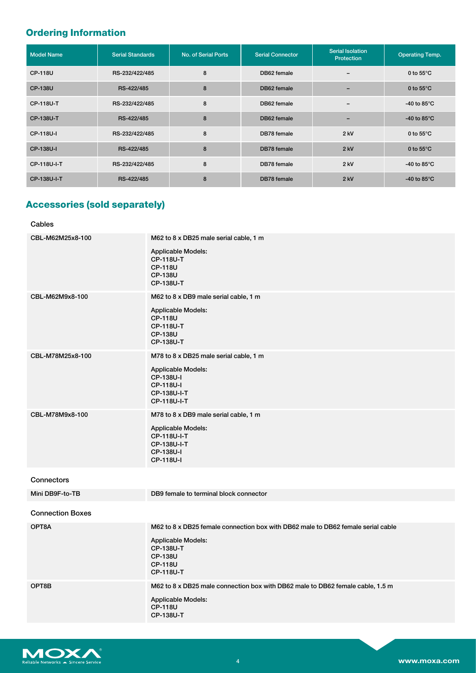# **Ordering Information**

| <b>Model Name</b> | <b>Serial Standards</b> | No. of Serial Ports | <b>Serial Connector</b> | <b>Serial Isolation</b><br><b>Protection</b> | <b>Operating Temp.</b>         |
|-------------------|-------------------------|---------------------|-------------------------|----------------------------------------------|--------------------------------|
| <b>CP-118U</b>    | RS-232/422/485          | 8                   | DB62 female             | $\overline{\phantom{0}}$                     | 0 to $55^{\circ}$ C            |
| <b>CP-138U</b>    | RS-422/485              | 8                   | DB62 female             | $\overline{\phantom{0}}$                     | 0 to $55^{\circ}$ C            |
| <b>CP-118U-T</b>  | RS-232/422/485          | 8                   | DB62 female             | $\overline{\phantom{0}}$                     | -40 to 85 $\mathrm{^{\circ}C}$ |
| <b>CP-138U-T</b>  | RS-422/485              | 8                   | DB62 female             | $\overline{\phantom{0}}$                     | -40 to 85 $\mathrm{^{\circ}C}$ |
| CP-118U-I         | RS-232/422/485          | 8                   | DB78 female             | $2$ kV                                       | 0 to $55^{\circ}$ C            |
| CP-138U-I         | RS-422/485              | 8                   | DB78 female             | $2$ kV                                       | 0 to $55^{\circ}$ C            |
| CP-118U-I-T       | RS-232/422/485          | 8                   | DB78 female             | $2$ kV                                       | -40 to 85 $\mathrm{^{\circ}C}$ |
| CP-138U-I-T       | RS-422/485              | 8                   | DB78 female             | $2$ kV                                       | -40 to 85 $\degree$ C          |

# **Accessories (sold separately)**

#### Cables

| CBL-M62M25x8-100        | M62 to 8 x DB25 male serial cable, 1 m<br><b>Applicable Models:</b><br><b>CP-118U-T</b><br><b>CP-118U</b><br><b>CP-138U</b><br><b>CP-138U-T</b>                                           |
|-------------------------|-------------------------------------------------------------------------------------------------------------------------------------------------------------------------------------------|
| CBL-M62M9x8-100         | M62 to 8 x DB9 male serial cable, 1 m<br>Applicable Models:<br><b>CP-118U</b><br><b>CP-118U-T</b><br><b>CP-138U</b><br><b>CP-138U-T</b>                                                   |
| CBL-M78M25x8-100        | M78 to 8 x DB25 male serial cable, 1 m<br><b>Applicable Models:</b><br>CP-138U-I<br>CP-118U-I<br>CP-138U-I-T<br>CP-118U-I-T                                                               |
| CBL-M78M9x8-100         | M78 to 8 x DB9 male serial cable, 1 m<br>Applicable Models:<br>CP-118U-I-T<br>CP-138U-I-T<br>CP-138U-I<br>CP-118U-I                                                                       |
| <b>Connectors</b>       |                                                                                                                                                                                           |
| Mini DB9F-to-TB         | DB9 female to terminal block connector                                                                                                                                                    |
| <b>Connection Boxes</b> |                                                                                                                                                                                           |
| OPT8A                   | M62 to 8 x DB25 female connection box with DB62 male to DB62 female serial cable<br><b>Applicable Models:</b><br><b>CP-138U-T</b><br><b>CP-138U</b><br><b>CP-118U</b><br><b>CP-118U-T</b> |
| OPT8B                   | M62 to 8 x DB25 male connection box with DB62 male to DB62 female cable, 1.5 m<br><b>Applicable Models:</b><br><b>CP-118U</b><br><b>CP-138U-T</b>                                         |